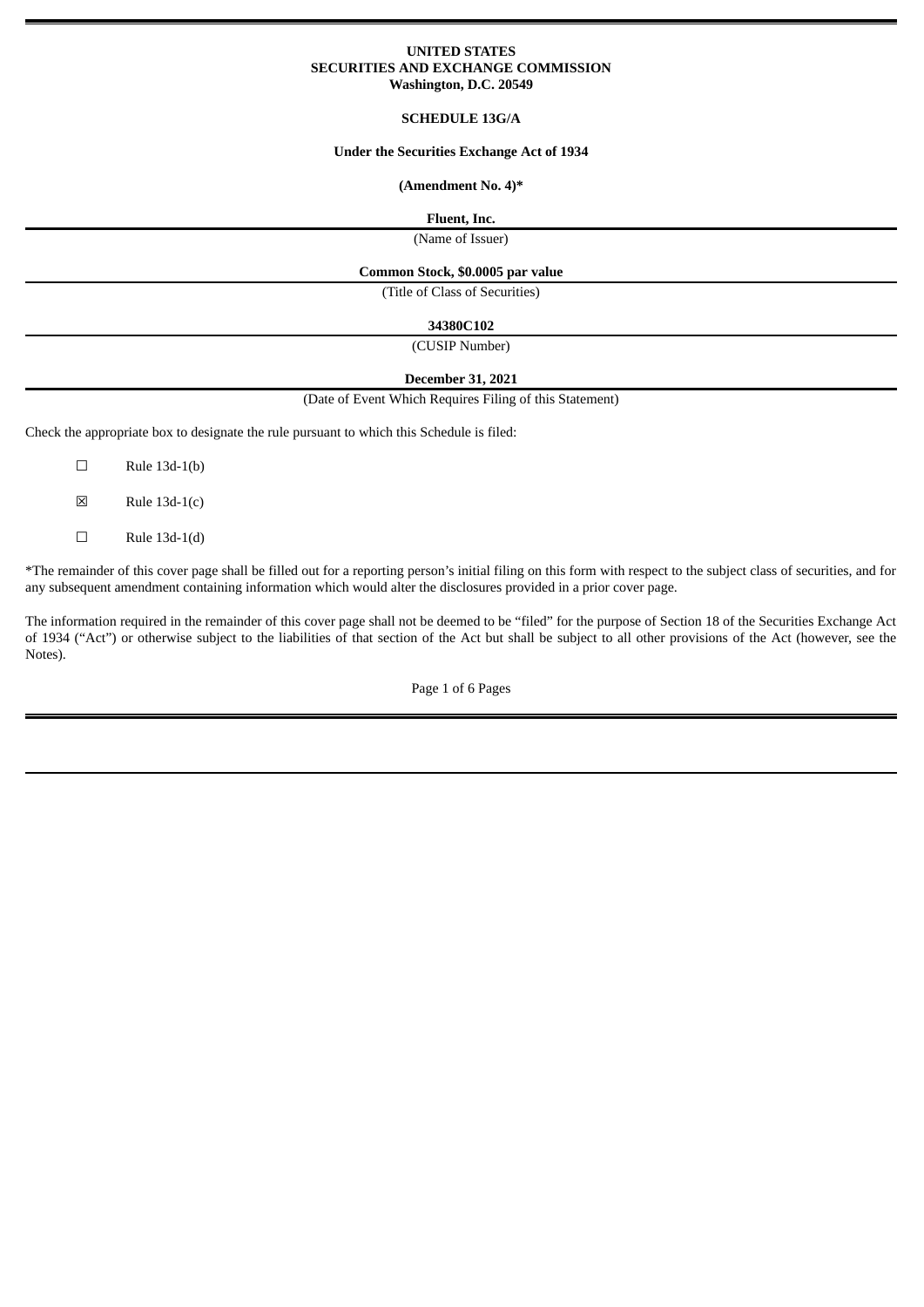## **UNITED STATES SECURITIES AND EXCHANGE COMMISSION Washington, D.C. 20549**

## **SCHEDULE 13G/A**

## **Under the Securities Exchange Act of 1934**

## **(Amendment No. 4)\***

# **Fluent, Inc.**

(Name of Issuer)

## **Common Stock, \$0.0005 par value**

(Title of Class of Securities)

# **34380C102**

(CUSIP Number)

## **December 31, 2021**

(Date of Event Which Requires Filing of this Statement)

Check the appropriate box to designate the rule pursuant to which this Schedule is filed:

- $\square$  Rule 13d-1(b)
- $\boxtimes$  Rule 13d-1(c)
- $\Box$  Rule 13d-1(d)

\*The remainder of this cover page shall be filled out for a reporting person's initial filing on this form with respect to the subject class of securities, and for any subsequent amendment containing information which would alter the disclosures provided in a prior cover page.

The information required in the remainder of this cover page shall not be deemed to be "filed" for the purpose of Section 18 of the Securities Exchange Act of 1934 ("Act") or otherwise subject to the liabilities of that section of the Act but shall be subject to all other provisions of the Act (however, see the Notes).

Page 1 of 6 Pages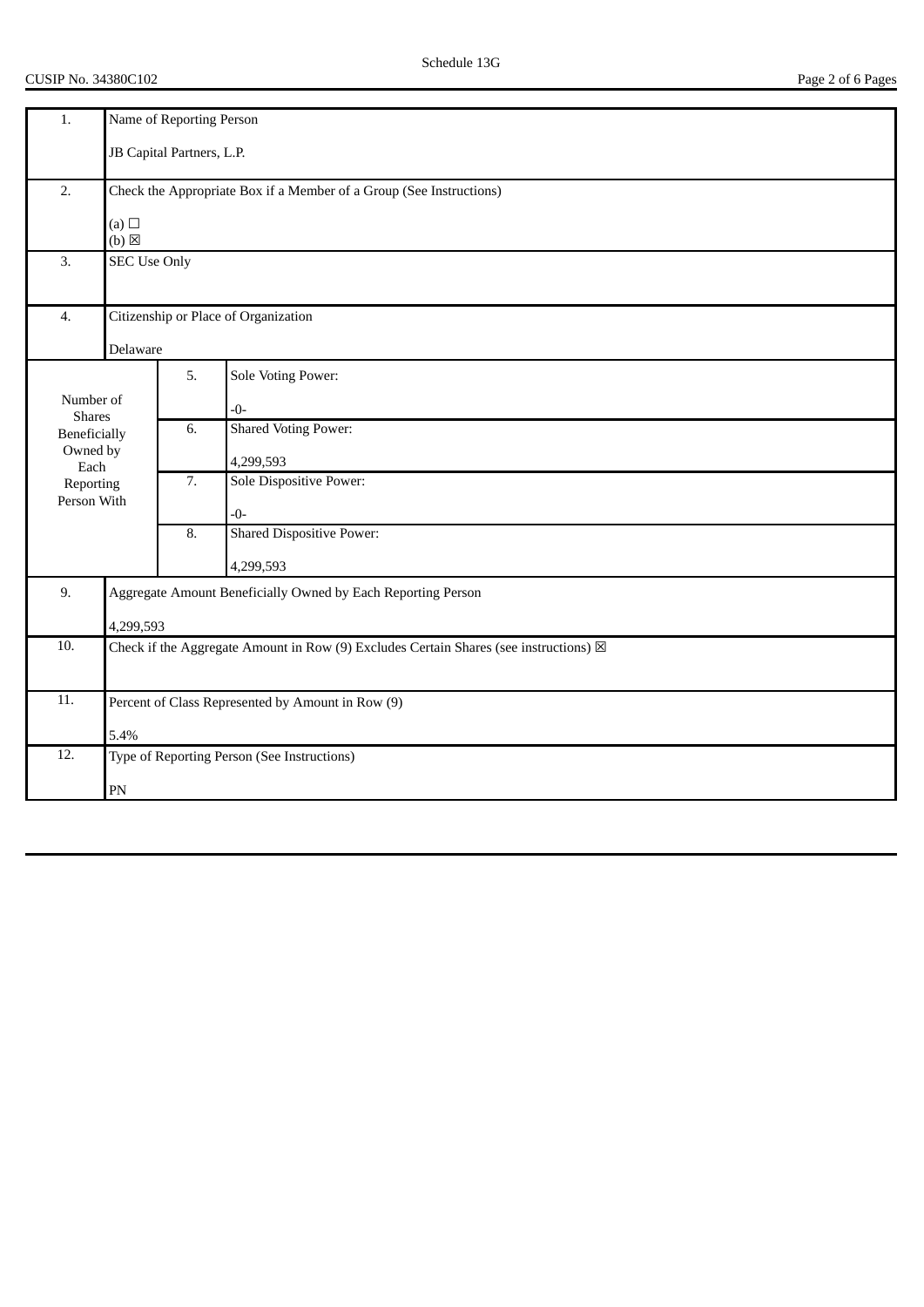CUSIP No. 34380C102 Page 2 of 6 Pages

| 1.                            |                                                                                                 | Name of Reporting Person |                                  |  |  |
|-------------------------------|-------------------------------------------------------------------------------------------------|--------------------------|----------------------------------|--|--|
|                               | JB Capital Partners, L.P.                                                                       |                          |                                  |  |  |
| 2.                            | Check the Appropriate Box if a Member of a Group (See Instructions)                             |                          |                                  |  |  |
|                               |                                                                                                 |                          |                                  |  |  |
|                               | (a)<br>$(b)$ $\boxtimes$                                                                        |                          |                                  |  |  |
| 3.                            | <b>SEC Use Only</b>                                                                             |                          |                                  |  |  |
| $\overline{4}$ .              | Citizenship or Place of Organization                                                            |                          |                                  |  |  |
|                               | Delaware                                                                                        |                          |                                  |  |  |
|                               |                                                                                                 | 5.                       | Sole Voting Power:               |  |  |
| Number of                     |                                                                                                 |                          | $-0-$                            |  |  |
| <b>Shares</b><br>Beneficially |                                                                                                 | 6.                       | <b>Shared Voting Power:</b>      |  |  |
| Owned by                      |                                                                                                 |                          | 4,299,593                        |  |  |
| Each<br>Reporting             |                                                                                                 | $\overline{7}$ .         | Sole Dispositive Power:          |  |  |
| Person With                   |                                                                                                 |                          | $-0-$                            |  |  |
|                               |                                                                                                 | $\overline{8}$ .         | <b>Shared Dispositive Power:</b> |  |  |
|                               |                                                                                                 |                          | 4,299,593                        |  |  |
| 9.                            | Aggregate Amount Beneficially Owned by Each Reporting Person                                    |                          |                                  |  |  |
|                               | 4,299,593                                                                                       |                          |                                  |  |  |
| 10.                           | Check if the Aggregate Amount in Row (9) Excludes Certain Shares (see instructions) $\boxtimes$ |                          |                                  |  |  |
|                               |                                                                                                 |                          |                                  |  |  |
| 11.                           | Percent of Class Represented by Amount in Row (9)                                               |                          |                                  |  |  |
|                               | 5.4%                                                                                            |                          |                                  |  |  |
| 12.                           | Type of Reporting Person (See Instructions)                                                     |                          |                                  |  |  |
|                               | PN                                                                                              |                          |                                  |  |  |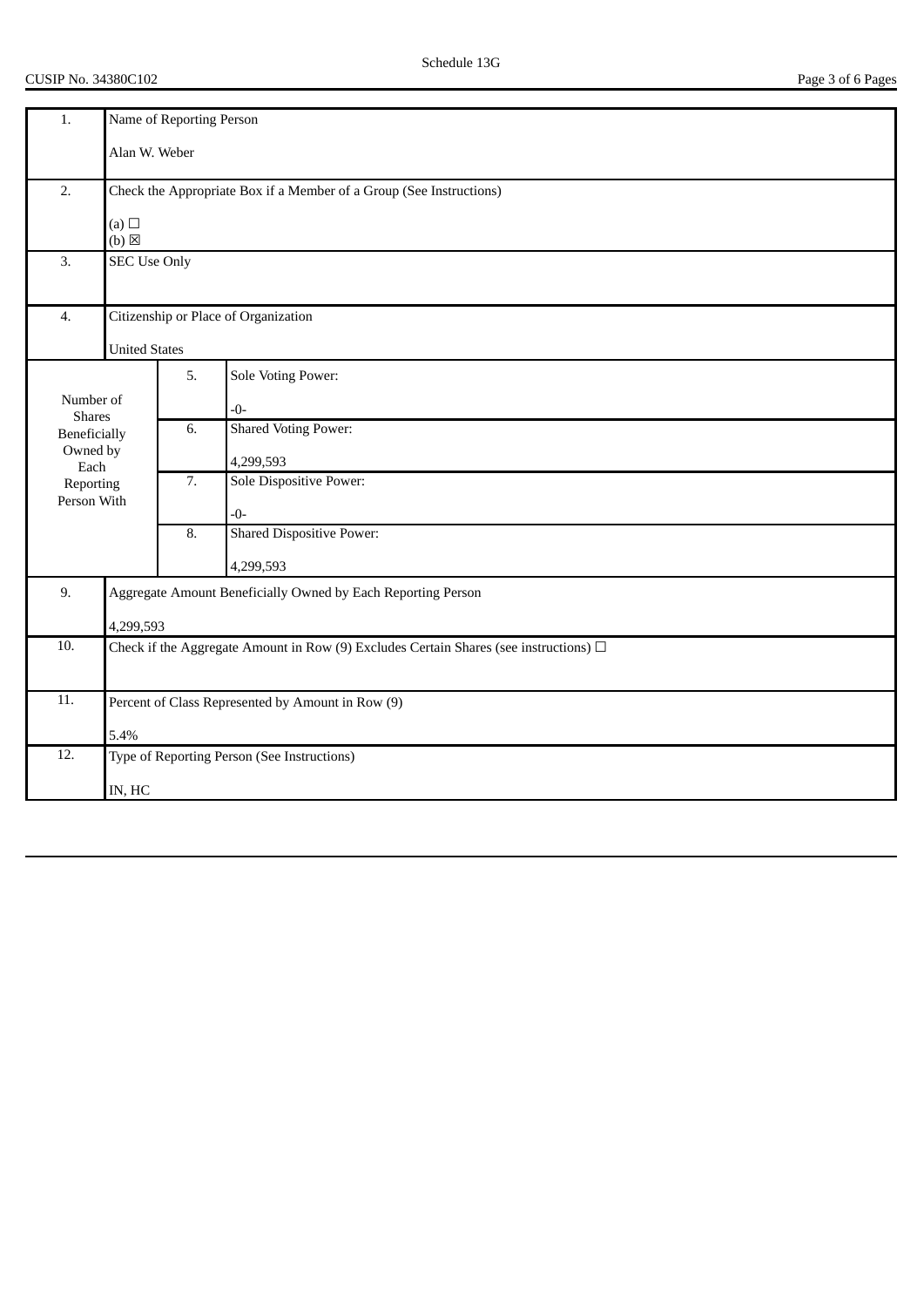| 1.                                   | Name of Reporting Person                                                                   |                  |                                  |  |  |
|--------------------------------------|--------------------------------------------------------------------------------------------|------------------|----------------------------------|--|--|
|                                      | Alan W. Weber                                                                              |                  |                                  |  |  |
|                                      |                                                                                            |                  |                                  |  |  |
| 2.                                   | Check the Appropriate Box if a Member of a Group (See Instructions)                        |                  |                                  |  |  |
|                                      | (a)<br>$(b)$ $\boxtimes$                                                                   |                  |                                  |  |  |
| <b>SEC Use Only</b><br>3.            |                                                                                            |                  |                                  |  |  |
|                                      |                                                                                            |                  |                                  |  |  |
| 4.                                   | Citizenship or Place of Organization                                                       |                  |                                  |  |  |
|                                      | <b>United States</b>                                                                       |                  |                                  |  |  |
|                                      |                                                                                            | 5.               | Sole Voting Power:               |  |  |
| Number of                            |                                                                                            |                  | $-0-$                            |  |  |
| <b>Shares</b><br><b>Beneficially</b> |                                                                                            | 6.               | <b>Shared Voting Power:</b>      |  |  |
| Owned by                             |                                                                                            |                  | 4,299,593                        |  |  |
| Each<br>Reporting                    |                                                                                            | 7.               | <b>Sole Dispositive Power:</b>   |  |  |
| Person With                          |                                                                                            |                  | $-0-$                            |  |  |
|                                      |                                                                                            | $\overline{8}$ . | <b>Shared Dispositive Power:</b> |  |  |
|                                      |                                                                                            |                  | 4,299,593                        |  |  |
| 9.                                   | Aggregate Amount Beneficially Owned by Each Reporting Person                               |                  |                                  |  |  |
|                                      | 4,299,593                                                                                  |                  |                                  |  |  |
| 10.                                  | Check if the Aggregate Amount in Row (9) Excludes Certain Shares (see instructions) $\Box$ |                  |                                  |  |  |
|                                      |                                                                                            |                  |                                  |  |  |
| 11.                                  | Percent of Class Represented by Amount in Row (9)                                          |                  |                                  |  |  |
|                                      | 5.4%                                                                                       |                  |                                  |  |  |
| $\overline{12}$ .                    | Type of Reporting Person (See Instructions)                                                |                  |                                  |  |  |
|                                      | IN, HC                                                                                     |                  |                                  |  |  |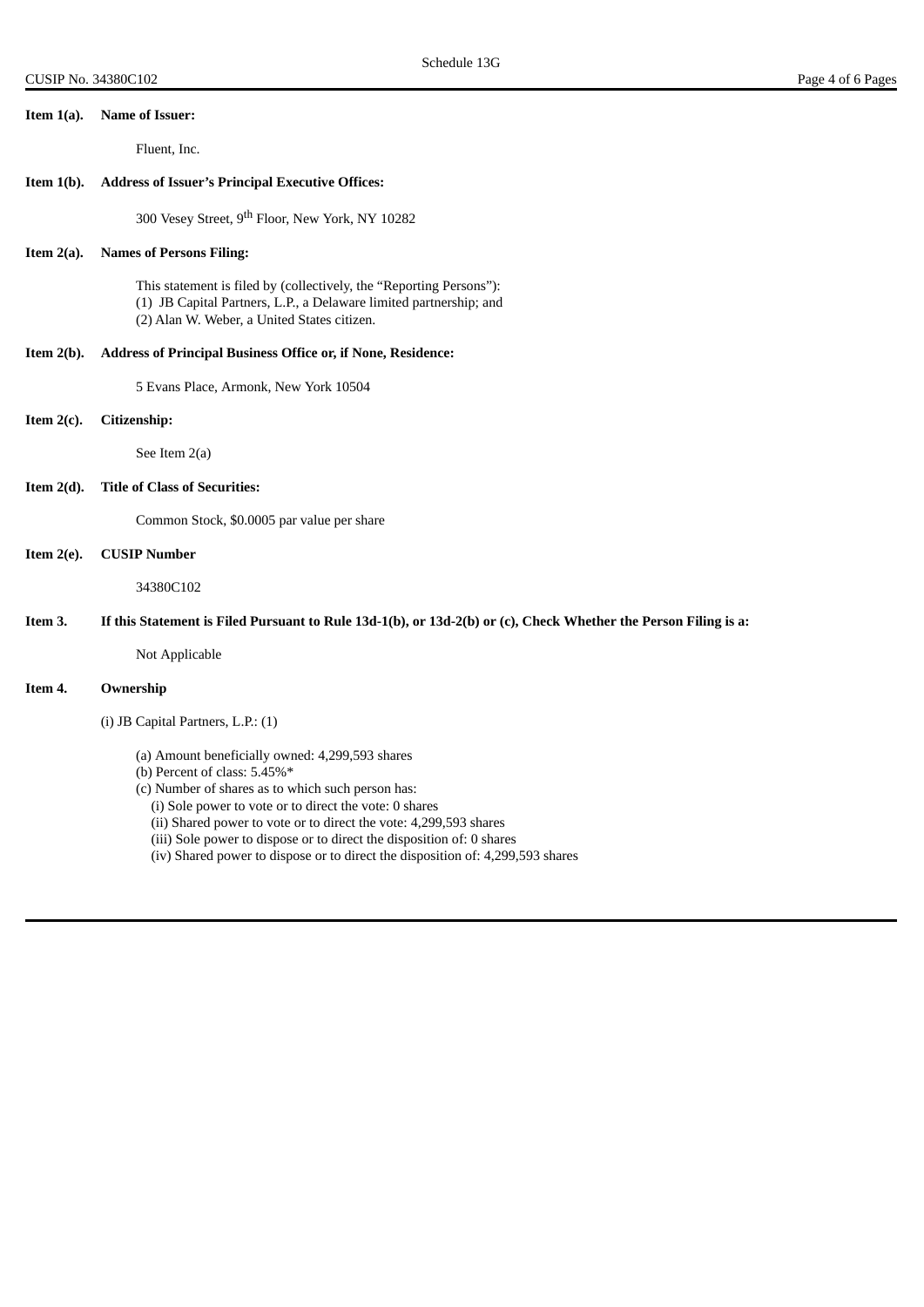## **Item 1(a). Name of Issuer:**

Fluent, Inc.

#### **Item 1(b). Address of Issuer's Principal Executive Offices:**

300 Vesey Street, 9<sup>th</sup> Floor, New York, NY 10282

## **Item 2(a). Names of Persons Filing:**

This statement is filed by (collectively, the "Reporting Persons"): (1) JB Capital Partners, L.P., a Delaware limited partnership; and (2) Alan W. Weber, a United States citizen.

#### **Item 2(b). Address of Principal Business Office or, if None, Residence:**

5 Evans Place, Armonk, New York 10504

#### **Item 2(c). Citizenship:**

See Item 2(a)

## **Item 2(d). Title of Class of Securities:**

Common Stock, \$0.0005 par value per share

## **Item 2(e). CUSIP Number**

34380C102

## Item 3. If this Statement is Filed Pursuant to Rule 13d-1(b), or 13d-2(b) or (c), Check Whether the Person Filing is a:

Not Applicable

## **Item 4. Ownership**

- (i) JB Capital Partners, L.P.: (1)
	- (a) Amount beneficially owned: 4,299,593 shares
	- (b) Percent of class: 5.45%\*
	- (c) Number of shares as to which such person has:
	- (i) Sole power to vote or to direct the vote: 0 shares
	- (ii) Shared power to vote or to direct the vote: 4,299,593 shares
	- (iii) Sole power to dispose or to direct the disposition of: 0 shares
	- (iv) Shared power to dispose or to direct the disposition of: 4,299,593 shares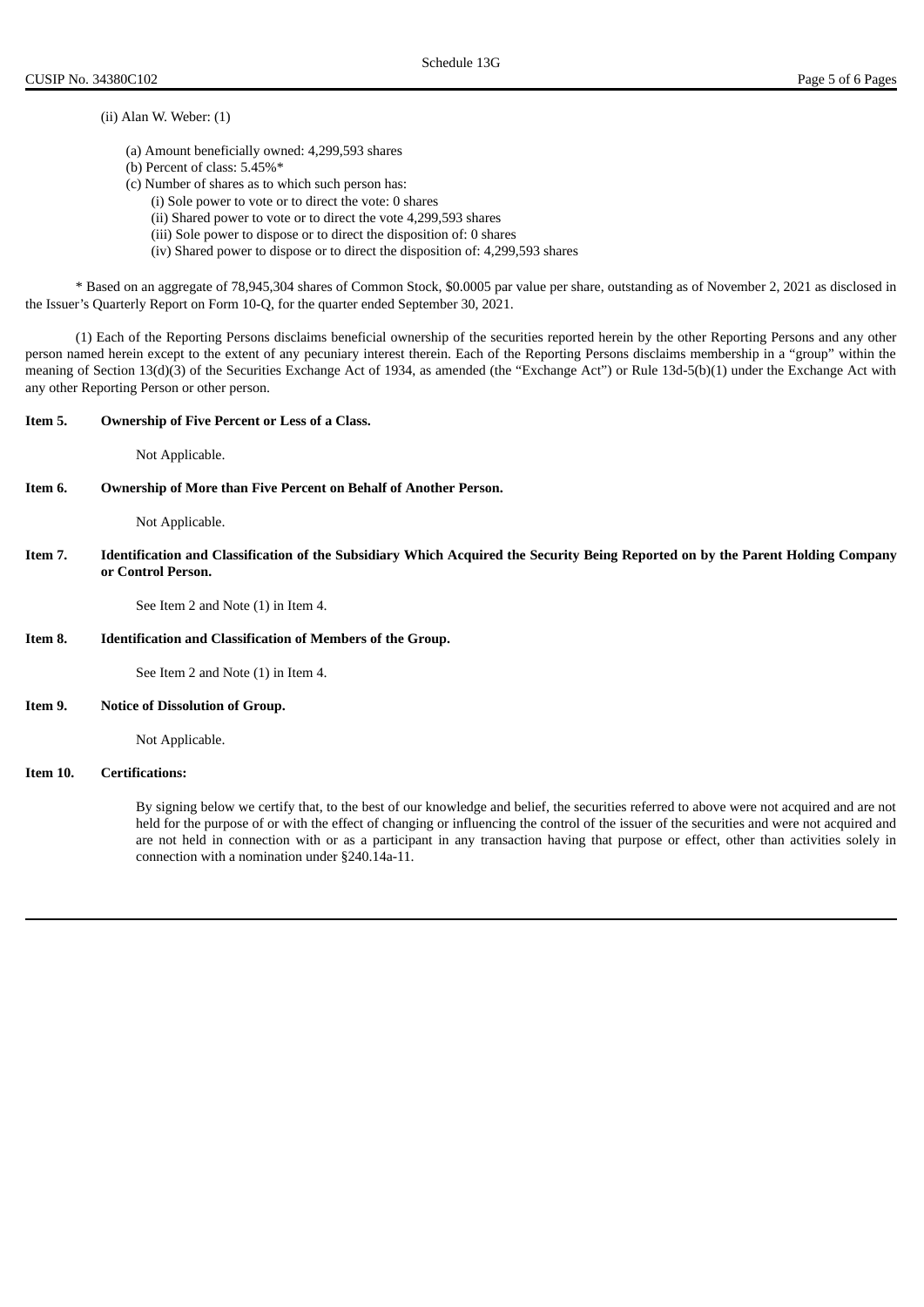## (ii) Alan W. Weber: (1)

- (a) Amount beneficially owned: 4,299,593 shares
- (b) Percent of class: 5.45%\*
- (c) Number of shares as to which such person has:
	- (i) Sole power to vote or to direct the vote: 0 shares
	- (ii) Shared power to vote or to direct the vote 4,299,593 shares
	- (iii) Sole power to dispose or to direct the disposition of: 0 shares
	- (iv) Shared power to dispose or to direct the disposition of: 4,299,593 shares

\* Based on an aggregate of 78,945,304 shares of Common Stock, \$0.0005 par value per share, outstanding as of November 2, 2021 as disclosed in the Issuer's Quarterly Report on Form 10-Q, for the quarter ended September 30, 2021.

(1) Each of the Reporting Persons disclaims beneficial ownership of the securities reported herein by the other Reporting Persons and any other person named herein except to the extent of any pecuniary interest therein. Each of the Reporting Persons disclaims membership in a "group" within the meaning of Section 13(d)(3) of the Securities Exchange Act of 1934, as amended (the "Exchange Act") or Rule 13d-5(b)(1) under the Exchange Act with any other Reporting Person or other person.

#### **Item 5. Ownership of Five Percent or Less of a Class.**

Not Applicable.

**Item 6. Ownership of More than Five Percent on Behalf of Another Person.**

Not Applicable.

Item 7. Identification and Classification of the Subsidiary Which Acquired the Security Being Reported on by the Parent Holding Company **or Control Person.**

See Item 2 and Note (1) in Item 4.

#### **Item 8. Identification and Classification of Members of the Group.**

See Item 2 and Note (1) in Item 4.

#### **Item 9. Notice of Dissolution of Group.**

Not Applicable.

## **Item 10. Certifications:**

By signing below we certify that, to the best of our knowledge and belief, the securities referred to above were not acquired and are not held for the purpose of or with the effect of changing or influencing the control of the issuer of the securities and were not acquired and are not held in connection with or as a participant in any transaction having that purpose or effect, other than activities solely in connection with a nomination under §240.14a-11.